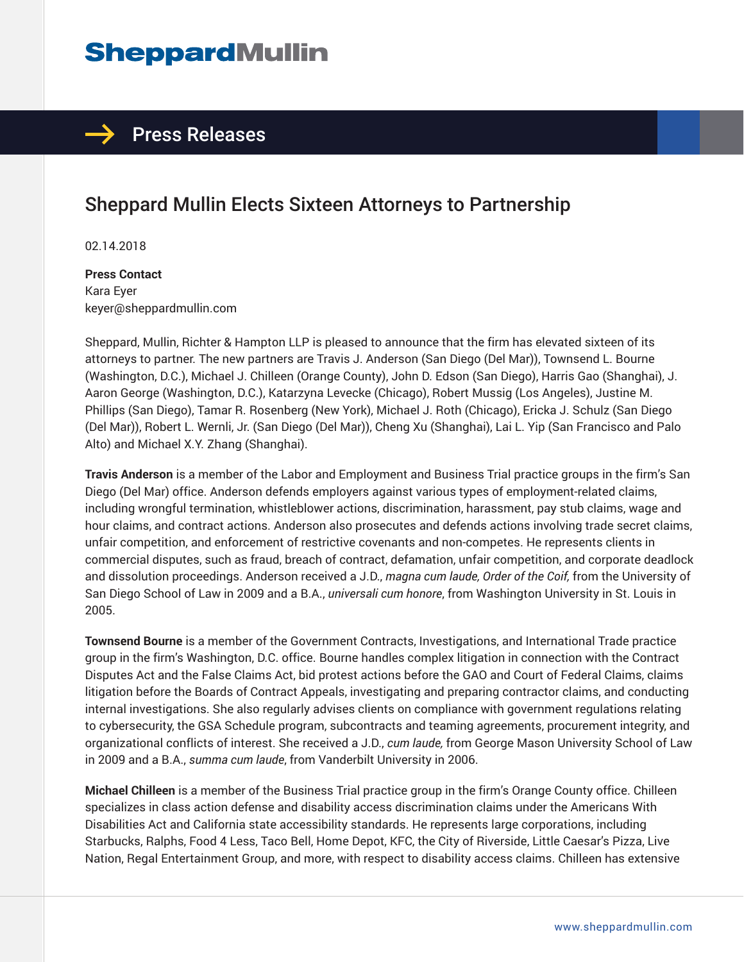# **SheppardMullin**

### $\rightarrow$  Press Releases

## Sheppard Mullin Elects Sixteen Attorneys to Partnership

02.14.2018

**Press Contact** Kara Eyer keyer@sheppardmullin.com

Sheppard, Mullin, Richter & Hampton LLP is pleased to announce that the firm has elevated sixteen of its attorneys to partner. The new partners are Travis J. Anderson (San Diego (Del Mar)), Townsend L. Bourne (Washington, D.C.), Michael J. Chilleen (Orange County), John D. Edson (San Diego), Harris Gao (Shanghai), J. Aaron George (Washington, D.C.), Katarzyna Levecke (Chicago), Robert Mussig (Los Angeles), Justine M. Phillips (San Diego), Tamar R. Rosenberg (New York), Michael J. Roth (Chicago), Ericka J. Schulz (San Diego (Del Mar)), Robert L. Wernli, Jr. (San Diego (Del Mar)), Cheng Xu (Shanghai), Lai L. Yip (San Francisco and Palo Alto) and Michael X.Y. Zhang (Shanghai).

**Travis Anderson** is a member of the Labor and Employment and Business Trial practice groups in the firm's San Diego (Del Mar) office. Anderson defends employers against various types of employment-related claims, including wrongful termination, whistleblower actions, discrimination, harassment, pay stub claims, wage and hour claims, and contract actions. Anderson also prosecutes and defends actions involving trade secret claims, unfair competition, and enforcement of restrictive covenants and non-competes. He represents clients in commercial disputes, such as fraud, breach of contract, defamation, unfair competition, and corporate deadlock and dissolution proceedings. Anderson received a J.D., *magna cum laude, Order of the Coif,* from the University of San Diego School of Law in 2009 and a B.A., *universali cum honore*, from Washington University in St. Louis in 2005.

**Townsend Bourne** is a member of the Government Contracts, Investigations, and International Trade practice group in the firm's Washington, D.C. office. Bourne handles complex litigation in connection with the Contract Disputes Act and the False Claims Act, bid protest actions before the GAO and Court of Federal Claims, claims litigation before the Boards of Contract Appeals, investigating and preparing contractor claims, and conducting internal investigations. She also regularly advises clients on compliance with government regulations relating to cybersecurity, the GSA Schedule program, subcontracts and teaming agreements, procurement integrity, and organizational conflicts of interest. She received a J.D., *cum laude,* from George Mason University School of Law in 2009 and a B.A., *summa cum laude*, from Vanderbilt University in 2006.

**Michael Chilleen** is a member of the Business Trial practice group in the firm's Orange County office. Chilleen specializes in class action defense and disability access discrimination claims under the Americans With Disabilities Act and California state accessibility standards. He represents large corporations, including Starbucks, Ralphs, Food 4 Less, Taco Bell, Home Depot, KFC, the City of Riverside, Little Caesar's Pizza, Live Nation, Regal Entertainment Group, and more, with respect to disability access claims. Chilleen has extensive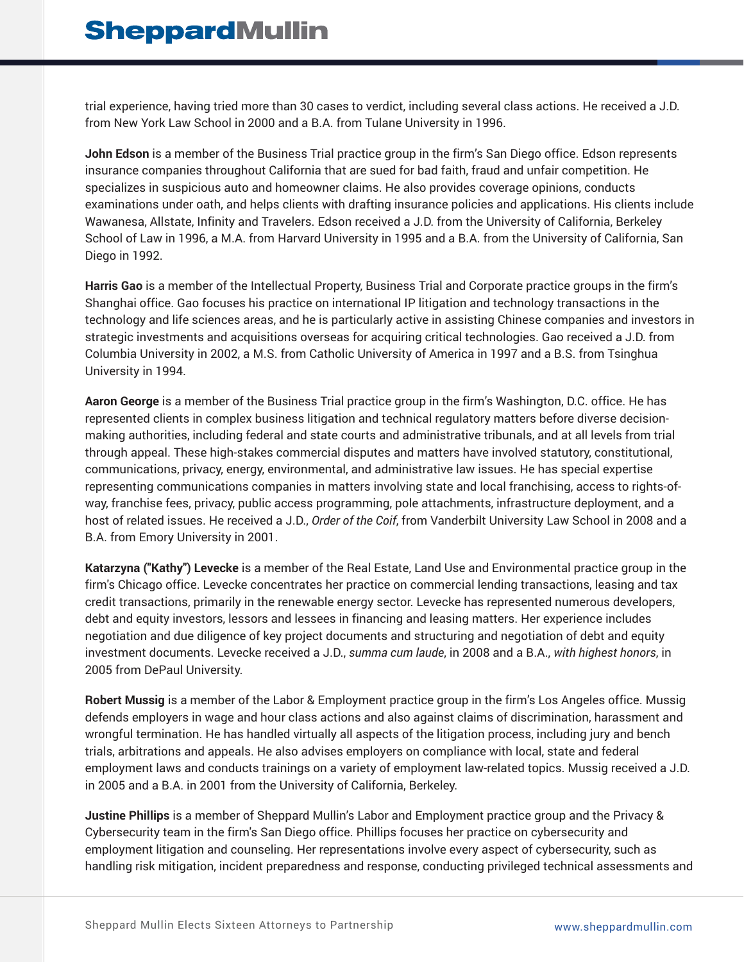trial experience, having tried more than 30 cases to verdict, including several class actions. He received a J.D. from New York Law School in 2000 and a B.A. from Tulane University in 1996.

**John Edson** is a member of the Business Trial practice group in the firm's San Diego office. Edson represents insurance companies throughout California that are sued for bad faith, fraud and unfair competition. He specializes in suspicious auto and homeowner claims. He also provides coverage opinions, conducts examinations under oath, and helps clients with drafting insurance policies and applications. His clients include Wawanesa, Allstate, Infinity and Travelers. Edson received a J.D. from the University of California, Berkeley School of Law in 1996, a M.A. from Harvard University in 1995 and a B.A. from the University of California, San Diego in 1992.

**Harris Gao** is a member of the Intellectual Property, Business Trial and Corporate practice groups in the firm's Shanghai office. Gao focuses his practice on international IP litigation and technology transactions in the technology and life sciences areas, and he is particularly active in assisting Chinese companies and investors in strategic investments and acquisitions overseas for acquiring critical technologies. Gao received a J.D. from Columbia University in 2002, a M.S. from Catholic University of America in 1997 and a B.S. from Tsinghua University in 1994.

**Aaron George** is a member of the Business Trial practice group in the firm's Washington, D.C. office. He has represented clients in complex business litigation and technical regulatory matters before diverse decisionmaking authorities, including federal and state courts and administrative tribunals, and at all levels from trial through appeal. These high-stakes commercial disputes and matters have involved statutory, constitutional, communications, privacy, energy, environmental, and administrative law issues. He has special expertise representing communications companies in matters involving state and local franchising, access to rights-ofway, franchise fees, privacy, public access programming, pole attachments, infrastructure deployment, and a host of related issues. He received a J.D., *Order of the Coif*, from Vanderbilt University Law School in 2008 and a B.A. from Emory University in 2001.

**Katarzyna ("Kathy") Levecke** is a member of the Real Estate, Land Use and Environmental practice group in the firm's Chicago office. Levecke concentrates her practice on commercial lending transactions, leasing and tax credit transactions, primarily in the renewable energy sector. Levecke has represented numerous developers, debt and equity investors, lessors and lessees in financing and leasing matters. Her experience includes negotiation and due diligence of key project documents and structuring and negotiation of debt and equity investment documents. Levecke received a J.D., *summa cum laude*, in 2008 and a B.A., *with highest honors*, in 2005 from DePaul University.

**Robert Mussig** is a member of the Labor & Employment practice group in the firm's Los Angeles office. Mussig defends employers in wage and hour class actions and also against claims of discrimination, harassment and wrongful termination. He has handled virtually all aspects of the litigation process, including jury and bench trials, arbitrations and appeals. He also advises employers on compliance with local, state and federal employment laws and conducts trainings on a variety of employment law-related topics. Mussig received a J.D. in 2005 and a B.A. in 2001 from the University of California, Berkeley.

**Justine Phillips** is a member of Sheppard Mullin's Labor and Employment practice group and the Privacy & Cybersecurity team in the firm's San Diego office. Phillips focuses her practice on cybersecurity and employment litigation and counseling. Her representations involve every aspect of cybersecurity, such as handling risk mitigation, incident preparedness and response, conducting privileged technical assessments and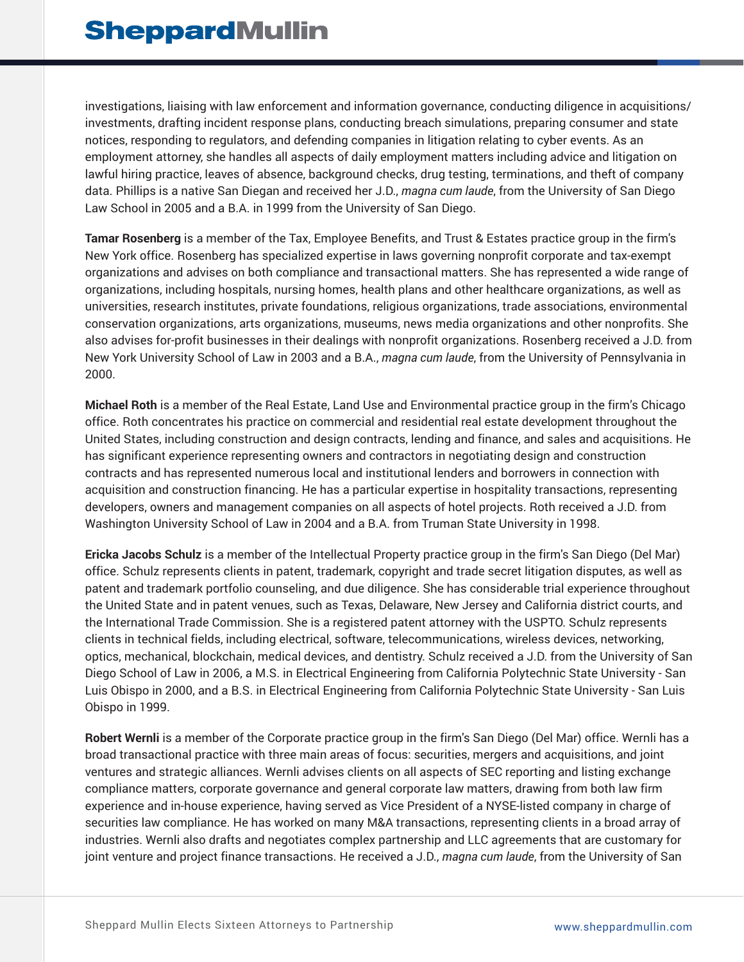investigations, liaising with law enforcement and information governance, conducting diligence in acquisitions/ investments, drafting incident response plans, conducting breach simulations, preparing consumer and state notices, responding to regulators, and defending companies in litigation relating to cyber events. As an employment attorney, she handles all aspects of daily employment matters including advice and litigation on lawful hiring practice, leaves of absence, background checks, drug testing, terminations, and theft of company data. Phillips is a native San Diegan and received her J.D., *magna cum laude*, from the University of San Diego Law School in 2005 and a B.A. in 1999 from the University of San Diego.

**Tamar Rosenberg** is a member of the Tax, Employee Benefits, and Trust & Estates practice group in the firm's New York office. Rosenberg has specialized expertise in laws governing nonprofit corporate and tax-exempt organizations and advises on both compliance and transactional matters. She has represented a wide range of organizations, including hospitals, nursing homes, health plans and other healthcare organizations, as well as universities, research institutes, private foundations, religious organizations, trade associations, environmental conservation organizations, arts organizations, museums, news media organizations and other nonprofits. She also advises for-profit businesses in their dealings with nonprofit organizations. Rosenberg received a J.D. from New York University School of Law in 2003 and a B.A., *magna cum laude*, from the University of Pennsylvania in 2000.

**Michael Roth** is a member of the Real Estate, Land Use and Environmental practice group in the firm's Chicago office. Roth concentrates his practice on commercial and residential real estate development throughout the United States, including construction and design contracts, lending and finance, and sales and acquisitions. He has significant experience representing owners and contractors in negotiating design and construction contracts and has represented numerous local and institutional lenders and borrowers in connection with acquisition and construction financing. He has a particular expertise in hospitality transactions, representing developers, owners and management companies on all aspects of hotel projects. Roth received a J.D. from Washington University School of Law in 2004 and a B.A. from Truman State University in 1998.

**Ericka Jacobs Schulz** is a member of the Intellectual Property practice group in the firm's San Diego (Del Mar) office. Schulz represents clients in patent, trademark, copyright and trade secret litigation disputes, as well as patent and trademark portfolio counseling, and due diligence. She has considerable trial experience throughout the United State and in patent venues, such as Texas, Delaware, New Jersey and California district courts, and the International Trade Commission. She is a registered patent attorney with the USPTO. Schulz represents clients in technical fields, including electrical, software, telecommunications, wireless devices, networking, optics, mechanical, blockchain, medical devices, and dentistry. Schulz received a J.D. from the University of San Diego School of Law in 2006, a M.S. in Electrical Engineering from California Polytechnic State University - San Luis Obispo in 2000, and a B.S. in Electrical Engineering from California Polytechnic State University - San Luis Obispo in 1999.

**Robert Wernli** is a member of the Corporate practice group in the firm's San Diego (Del Mar) office. Wernli has a broad transactional practice with three main areas of focus: securities, mergers and acquisitions, and joint ventures and strategic alliances. Wernli advises clients on all aspects of SEC reporting and listing exchange compliance matters, corporate governance and general corporate law matters, drawing from both law firm experience and in-house experience, having served as Vice President of a NYSE-listed company in charge of securities law compliance. He has worked on many M&A transactions, representing clients in a broad array of industries. Wernli also drafts and negotiates complex partnership and LLC agreements that are customary for joint venture and project finance transactions. He received a J.D., *magna cum laude*, from the University of San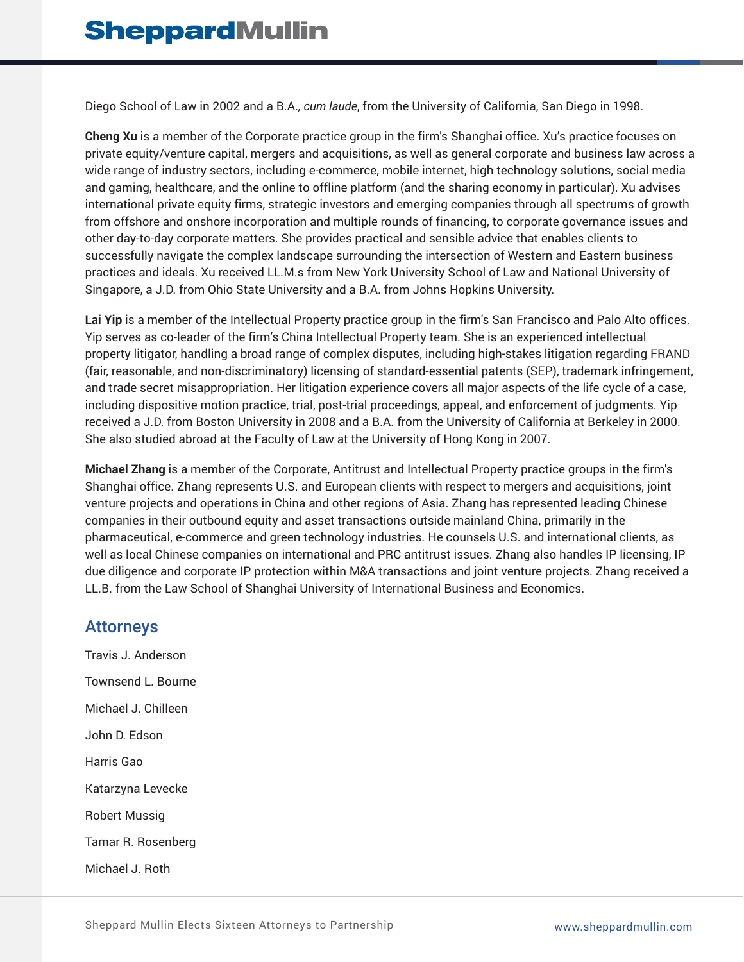Diego School of Law in 2002 and a B.A.*, cum laude*, from the University of California, San Diego in 1998.

**Cheng Xu** is a member of the Corporate practice group in the firm's Shanghai office. Xu's practice focuses on private equity/venture capital, mergers and acquisitions, as well as general corporate and business law across a wide range of industry sectors, including e-commerce, mobile internet, high technology solutions, social media and gaming, healthcare, and the online to offline platform (and the sharing economy in particular). Xu advises international private equity firms, strategic investors and emerging companies through all spectrums of growth from offshore and onshore incorporation and multiple rounds of financing, to corporate governance issues and other day-to-day corporate matters. She provides practical and sensible advice that enables clients to successfully navigate the complex landscape surrounding the intersection of Western and Eastern business practices and ideals. Xu received LL.M.s from New York University School of Law and National University of Singapore, a J.D. from Ohio State University and a B.A. from Johns Hopkins University.

**Lai Yip** is a member of the Intellectual Property practice group in the firm's San Francisco and Palo Alto offices. Yip serves as co-leader of the firm's China Intellectual Property team. She is an experienced intellectual property litigator, handling a broad range of complex disputes, including high-stakes litigation regarding FRAND (fair, reasonable, and non-discriminatory) licensing of standard-essential patents (SEP), trademark infringement, and trade secret misappropriation. Her litigation experience covers all major aspects of the life cycle of a case, including dispositive motion practice, trial, post-trial proceedings, appeal, and enforcement of judgments. Yip received a J.D. from Boston University in 2008 and a B.A. from the University of California at Berkeley in 2000. She also studied abroad at the Faculty of Law at the University of Hong Kong in 2007.

**Michael Zhang** is a member of the Corporate, Antitrust and Intellectual Property practice groups in the firm's Shanghai office. Zhang represents U.S. and European clients with respect to mergers and acquisitions, joint venture projects and operations in China and other regions of Asia. Zhang has represented leading Chinese companies in their outbound equity and asset transactions outside mainland China, primarily in the pharmaceutical, e-commerce and green technology industries. He counsels U.S. and international clients, as well as local Chinese companies on international and PRC antitrust issues. Zhang also handles IP licensing, IP due diligence and corporate IP protection within M&A transactions and joint venture projects. Zhang received a LL.B. from the Law School of Shanghai University of International Business and Economics.

#### Attorneys

Travis J. Anderson Townsend L. Bourne Michael J. Chilleen John D. Edson Harris Gao Katarzyna Levecke Robert Mussig Tamar R. Rosenberg Michael J. Roth